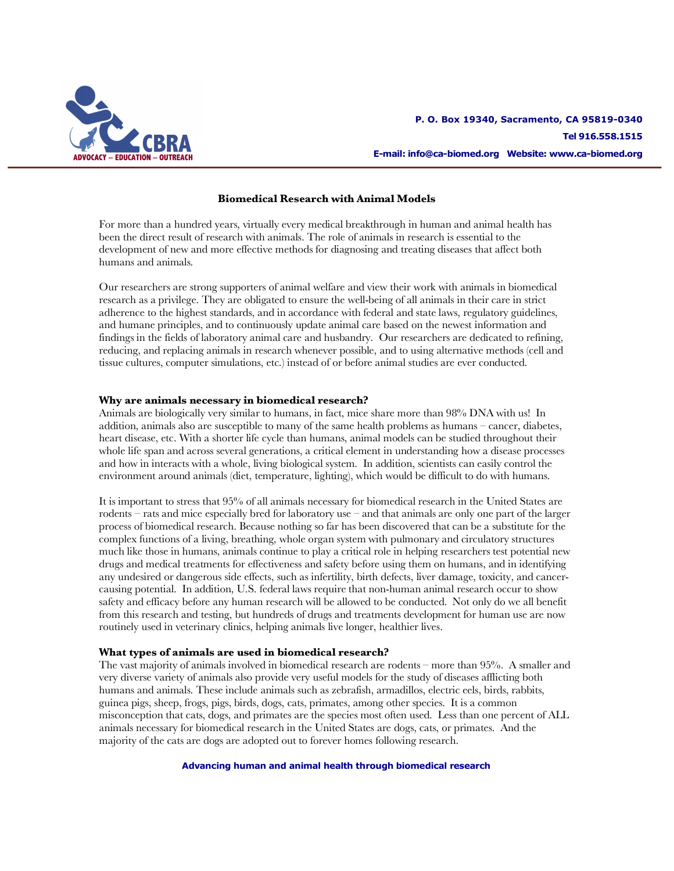

# **Biomedical Research with Animal Models**

For more than a hundred years, virtually every medical breakthrough in human and animal health has been the direct result of research with animals. The role of animals in research is essential to the development of new and more effective methods for diagnosing and treating diseases that affect both humans and animals.

Our researchers are strong supporters of animal welfare and view their work with animals in biomedical research as a privilege. They are obligated to ensure the well-being of all animals in their care in strict adherence to the highest standards, and in accordance with federal and state laws, regulatory guidelines, and humane principles, and to continuously update animal care based on the newest information and findings in the fields of laboratory animal care and husbandry. Our researchers are dedicated to refining, reducing, and replacing animals in research whenever possible, and to using alternative methods (cell and tissue cultures, computer simulations, etc.) instead of or before animal studies are ever conducted.

### **Why are animals necessary in biomedical research?**

Animals are biologically very similar to humans, in fact, mice share more than 98% DNA with us! In addition, animals also are susceptible to many of the same health problems as humans – cancer, diabetes, heart disease, etc. With a shorter life cycle than humans, animal models can be studied throughout their whole life span and across several generations, a critical element in understanding how a disease processes and how in interacts with a whole, living biological system. In addition, scientists can easily control the environment around animals (diet, temperature, lighting), which would be difficult to do with humans.

It is important to stress that 95% of all animals necessary for biomedical research in the United States are rodents – rats and mice especially bred for laboratory use – and that animals are only one part of the larger process of biomedical research. Because nothing so far has been discovered that can be a substitute for the complex functions of a living, breathing, whole organ system with pulmonary and circulatory structures much like those in humans, animals continue to play a critical role in helping researchers test potential new drugs and medical treatments for effectiveness and safety before using them on humans, and in identifying any undesired or dangerous side effects, such as infertility, birth defects, liver damage, toxicity, and cancercausing potential. In addition, U.S. federal laws require that non-human animal research occur to show safety and efficacy before any human research will be allowed to be conducted. Not only do we all benefit from this research and testing, but hundreds of drugs and treatments development for human use are now routinely used in veterinary clinics, helping animals live longer, healthier lives.

### **What types of animals are used in biomedical research?**

The vast majority of animals involved in biomedical research are rodents – more than 95%. A smaller and very diverse variety of animals also provide very useful models for the study of diseases afflicting both humans and animals. These include animals such as zebrafish, armadillos, electric eels, birds, rabbits, guinea pigs, sheep, frogs, pigs, birds, dogs, cats, primates, among other species. It is a common misconception that cats, dogs, and primates are the species most often used. Less than one percent of ALL animals necessary for biomedical research in the United States are dogs, cats, or primates. And the majority of the cats are dogs are adopted out to forever homes following research.

**Advancing human and animal health through biomedical research**